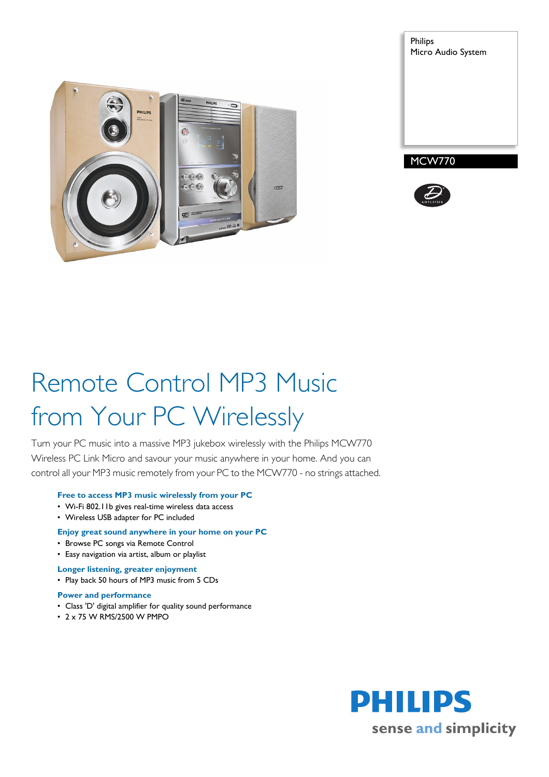





# Remote Control MP3 Music from Your PC Wirelessly

Turn your PC music into a massive MP3 jukebox wirelessly with the Philips MCW770 Wireless PC Link Micro and savour your music anywhere in your home. And you can control all your MP3 music remotely from your PC to the MCW770 - no strings attached.

# **Free to access MP3 music wirelessly from your PC**

- Wi-Fi 802.11b gives real-time wireless data access
- Wireless USB adapter for PC included

# **Enjoy great sound anywhere in your home on your PC**

- Browse PC songs via Remote Control
- Easy navigation via artist, album or playlist
- **Longer listening, greater enjoyment**
- Play back 50 hours of MP3 music from 5 CDs

### **Power and performance**

- Class 'D' digital amplifier for quality sound performance
- 2 x 75 W RMS/2500 W PMPO